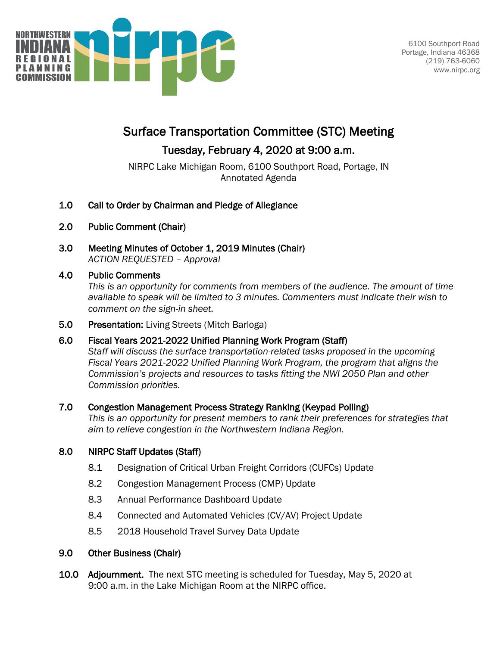

# Surface Transportation Committee (STC) Meeting

## Tuesday, February 4, 2020 at 9:00 a.m.

NIRPC Lake Michigan Room, 6100 Southport Road, Portage, IN Annotated Agenda

- 1.0 Call to Order by Chairman and Pledge of Allegiance
- 2.0 Public Comment (Chair)
- 3.0 Meeting Minutes of October 1, 2019 Minutes (Chair) *ACTION REQUESTED – Approval*

### 4.0 Public Comments

*This is an opportunity for comments from members of the audience. The amount of time available to speak will be limited to 3 minutes. Commenters must indicate their wish to comment on the sign-in sheet.*

5.0 Presentation: Living Streets (Mitch Barloga)

### 6.0 Fiscal Years 2021-2022 Unified Planning Work Program (Staff)

*Staff will discuss the surface transportation-related tasks proposed in the upcoming Fiscal Years 2021-2022 Unified Planning Work Program, the program that aligns the Commission's projects and resources to tasks fitting the NWI 2050 Plan and other Commission priorities.*

### 7.0 Congestion Management Process Strategy Ranking (Keypad Polling)

*This is an opportunity for present members to rank their preferences for strategies that aim to relieve congestion in the Northwestern Indiana Region.* 

### 8.0 NIRPC Staff Updates (Staff)

- 8.1 Designation of Critical Urban Freight Corridors (CUFCs) Update
- 8.2 Congestion Management Process (CMP) Update
- 8.3 Annual Performance Dashboard Update
- 8.4 Connected and Automated Vehicles (CV/AV) Project Update
- 8.5 2018 Household Travel Survey Data Update

### 9.0 Other Business (Chair)

10.0 Adjournment. The next STC meeting is scheduled for Tuesday, May 5, 2020 at 9:00 a.m. in the Lake Michigan Room at the NIRPC office.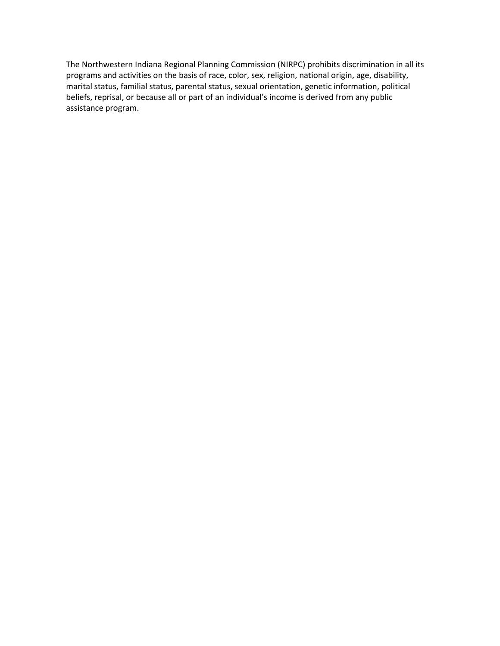The Northwestern Indiana Regional Planning Commission (NIRPC) prohibits discrimination in all its programs and activities on the basis of race, color, sex, religion, national origin, age, disability, marital status, familial status, parental status, sexual orientation, genetic information, political beliefs, reprisal, or because all or part of an individual's income is derived from any public assistance program.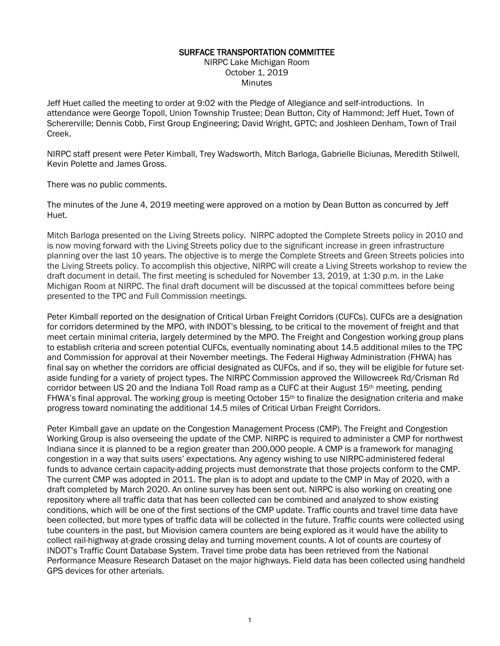#### SURFACE TRANSPORTATION COMMITTEE

NIRPC Lake Michigan Room October 1, 2019 **Minutes** 

Jeff Huet called the meeting to order at 9:02 with the Pledge of Allegiance and self-introductions. In attendance were George Topoll, Union Township Trustee; Dean Button, City of Hammond; Jeff Huet, Town of Schererville; Dennis Cobb, First Group Engineering; David Wright, GPTC; and Joshleen Denham, Town of Trail Creek.

NIRPC staff present were Peter Kimball, Trey Wadsworth, Mitch Barloga, Gabrielle Biciunas, Meredith Stilwell, Kevin Polette and James Gross.

There was no public comments.

The minutes of the June 4, 2019 meeting were approved on a motion by Dean Button as concurred by Jeff Huet.

Mitch Barloga presented on the Living Streets policy. NIRPC adopted the Complete Streets policy in 2010 and is now moving forward with the Living Streets policy due to the significant increase in green infrastructure planning over the last 10 years. The objective is to merge the Complete Streets and Green Streets policies into the Living Streets policy. To accomplish this objective, NIRPC will create a Living Streets workshop to review the draft document in detail. The first meeting is scheduled for November 13, 2019, at 1:30 p.m. in the Lake Michigan Room at NIRPC. The final draft document will be discussed at the topical committees before being presented to the TPC and Full Commission meetings.

Peter Kimball reported on the designation of Critical Urban Freight Corridors (CUFCs). CUFCs are a designation for corridors determined by the MPO, with INDOT's blessing, to be critical to the movement of freight and that meet certain minimal criteria, largely determined by the MPO. The Freight and Congestion working group plans to establish criteria and screen potential CUFCs, eventually nominating about 14.5 additional miles to the TPC and Commission for approval at their November meetings. The Federal Highway Administration (FHWA) has final say on whether the corridors are official designated as CUFCs, and if so, they will be eligible for future setaside funding for a variety of project types. The NIRPC Commission approved the Willowcreek Rd/Crisman Rd corridor between US 20 and the Indiana Toll Road ramp as a CUFC at their August 15th meeting, pending FHWA's final approval. The working group is meeting October  $15<sup>th</sup>$  to finalize the designation criteria and make progress toward nominating the additional 14.5 miles of Critical Urban Freight Corridors.

Peter Kimball gave an update on the Congestion Management Process (CMP). The Freight and Congestion Working Group is also overseeing the update of the CMP. NIRPC is required to administer a CMP for northwest Indiana since it is planned to be a region greater than 200,000 people. A CMP is a framework for managing congestion in a way that suits users' expectations. Any agency wishing to use NIRPC-administered federal funds to advance certain capacity-adding projects must demonstrate that those projects conform to the CMP. The current CMP was adopted in 2011. The plan is to adopt and update to the CMP in May of 2020, with a draft completed by March 2020. An online survey has been sent out. NIRPC is also working on creating one repository where all traffic data that has been collected can be combined and analyzed to show existing conditions, which will be one of the first sections of the CMP update. Traffic counts and travel time data have been collected, but more types of traffic data will be collected in the future. Traffic counts were collected using tube counters in the past, but Miovision camera counters are being explored as it would have the ability to collect rail-highway at-grade crossing delay and turning movement counts. A lot of counts are courtesy of INDOT's Traffic Count Database System. Travel time probe data has been retrieved from the National Performance Measure Research Dataset on the major highways. Field data has been collected using handheld GPS devices for other arterials.